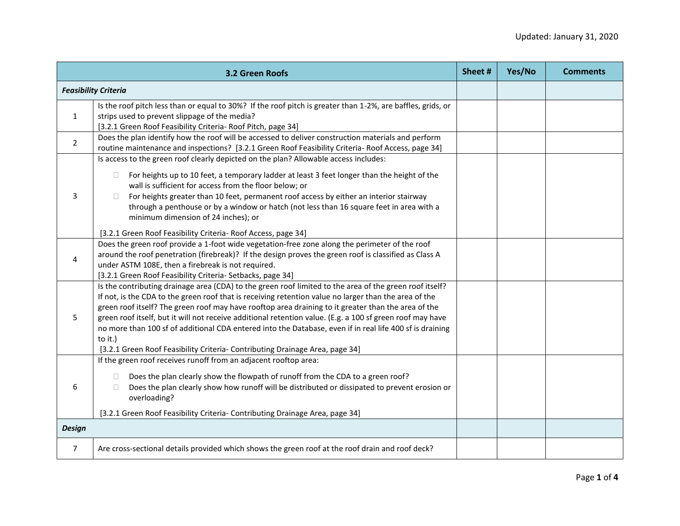| 3.2 Green Roofs |                                                                                                                                                                                                                                                                                                                                                                                                                                                                                                                                                                                                                                             | Sheet # | Yes/No | <b>Comments</b> |
|-----------------|---------------------------------------------------------------------------------------------------------------------------------------------------------------------------------------------------------------------------------------------------------------------------------------------------------------------------------------------------------------------------------------------------------------------------------------------------------------------------------------------------------------------------------------------------------------------------------------------------------------------------------------------|---------|--------|-----------------|
|                 | <b>Feasibility Criteria</b>                                                                                                                                                                                                                                                                                                                                                                                                                                                                                                                                                                                                                 |         |        |                 |
| $\mathbf{1}$    | Is the roof pitch less than or equal to 30%? If the roof pitch is greater than 1-2%, are baffles, grids, or<br>strips used to prevent slippage of the media?<br>[3.2.1 Green Roof Feasibility Criteria- Roof Pitch, page 34]                                                                                                                                                                                                                                                                                                                                                                                                                |         |        |                 |
| $\overline{2}$  | Does the plan identify how the roof will be accessed to deliver construction materials and perform<br>routine maintenance and inspections? [3.2.1 Green Roof Feasibility Criteria- Roof Access, page 34]                                                                                                                                                                                                                                                                                                                                                                                                                                    |         |        |                 |
| 3               | Is access to the green roof clearly depicted on the plan? Allowable access includes:<br>For heights up to 10 feet, a temporary ladder at least 3 feet longer than the height of the<br>$\Box$<br>wall is sufficient for access from the floor below; or<br>For heights greater than 10 feet, permanent roof access by either an interior stairway<br>П.<br>through a penthouse or by a window or hatch (not less than 16 square feet in area with a<br>minimum dimension of 24 inches); or<br>[3.2.1 Green Roof Feasibility Criteria- Roof Access, page 34]                                                                                 |         |        |                 |
| 4               | Does the green roof provide a 1-foot wide vegetation-free zone along the perimeter of the roof<br>around the roof penetration (firebreak)? If the design proves the green roof is classified as Class A<br>under ASTM 108E, then a firebreak is not required.<br>[3.2.1 Green Roof Feasibility Criteria- Setbacks, page 34]                                                                                                                                                                                                                                                                                                                 |         |        |                 |
| 5               | Is the contributing drainage area (CDA) to the green roof limited to the area of the green roof itself?<br>If not, is the CDA to the green roof that is receiving retention value no larger than the area of the<br>green roof itself? The green roof may have rooftop area draining to it greater than the area of the<br>green roof itself, but it will not receive additional retention value. (E.g. a 100 sf green roof may have<br>no more than 100 sf of additional CDA entered into the Database, even if in real life 400 sf is draining<br>to it.)<br>[3.2.1 Green Roof Feasibility Criteria- Contributing Drainage Area, page 34] |         |        |                 |
| 6               | If the green roof receives runoff from an adjacent rooftop area:<br>Does the plan clearly show the flowpath of runoff from the CDA to a green roof?<br>Does the plan clearly show how runoff will be distributed or dissipated to prevent erosion or<br>П<br>overloading?<br>[3.2.1 Green Roof Feasibility Criteria- Contributing Drainage Area, page 34]                                                                                                                                                                                                                                                                                   |         |        |                 |
| <b>Design</b>   |                                                                                                                                                                                                                                                                                                                                                                                                                                                                                                                                                                                                                                             |         |        |                 |
| $\overline{7}$  | Are cross-sectional details provided which shows the green roof at the roof drain and roof deck?                                                                                                                                                                                                                                                                                                                                                                                                                                                                                                                                            |         |        |                 |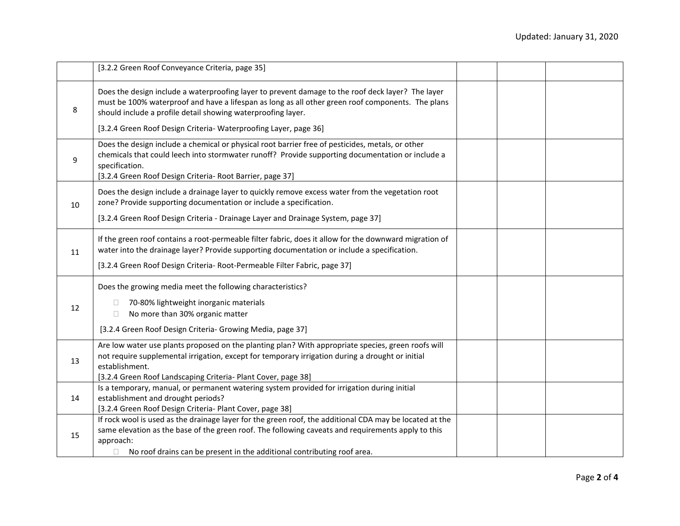|    | [3.2.2 Green Roof Conveyance Criteria, page 35]                                                                                                                                                                                                                                                                                            |  |  |
|----|--------------------------------------------------------------------------------------------------------------------------------------------------------------------------------------------------------------------------------------------------------------------------------------------------------------------------------------------|--|--|
| 8  | Does the design include a waterproofing layer to prevent damage to the roof deck layer? The layer<br>must be 100% waterproof and have a lifespan as long as all other green roof components. The plans<br>should include a profile detail showing waterproofing layer.<br>[3.2.4 Green Roof Design Criteria- Waterproofing Layer, page 36] |  |  |
| 9  | Does the design include a chemical or physical root barrier free of pesticides, metals, or other<br>chemicals that could leech into stormwater runoff? Provide supporting documentation or include a<br>specification.<br>[3.2.4 Green Roof Design Criteria- Root Barrier, page 37]                                                        |  |  |
| 10 | Does the design include a drainage layer to quickly remove excess water from the vegetation root<br>zone? Provide supporting documentation or include a specification.<br>[3.2.4 Green Roof Design Criteria - Drainage Layer and Drainage System, page 37]                                                                                 |  |  |
| 11 | If the green roof contains a root-permeable filter fabric, does it allow for the downward migration of<br>water into the drainage layer? Provide supporting documentation or include a specification.<br>[3.2.4 Green Roof Design Criteria- Root-Permeable Filter Fabric, page 37]                                                         |  |  |
| 12 | Does the growing media meet the following characteristics?<br>70-80% lightweight inorganic materials<br>No more than 30% organic matter<br>П.<br>[3.2.4 Green Roof Design Criteria- Growing Media, page 37]                                                                                                                                |  |  |
| 13 | Are low water use plants proposed on the planting plan? With appropriate species, green roofs will<br>not require supplemental irrigation, except for temporary irrigation during a drought or initial<br>establishment.<br>[3.2.4 Green Roof Landscaping Criteria- Plant Cover, page 38]                                                  |  |  |
| 14 | Is a temporary, manual, or permanent watering system provided for irrigation during initial<br>establishment and drought periods?<br>[3.2.4 Green Roof Design Criteria- Plant Cover, page 38]                                                                                                                                              |  |  |
| 15 | If rock wool is used as the drainage layer for the green roof, the additional CDA may be located at the<br>same elevation as the base of the green roof. The following caveats and requirements apply to this<br>approach:<br>No roof drains can be present in the additional contributing roof area.                                      |  |  |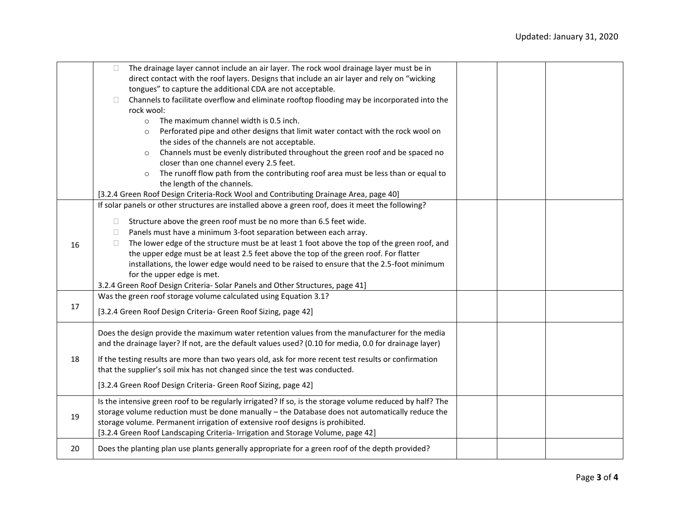|    | The drainage layer cannot include an air layer. The rock wool drainage layer must be in<br>$\Box$                                                                                                       |  |  |
|----|---------------------------------------------------------------------------------------------------------------------------------------------------------------------------------------------------------|--|--|
|    | direct contact with the roof layers. Designs that include an air layer and rely on "wicking                                                                                                             |  |  |
|    | tongues" to capture the additional CDA are not acceptable.                                                                                                                                              |  |  |
|    | Channels to facilitate overflow and eliminate rooftop flooding may be incorporated into the<br>$\Box$                                                                                                   |  |  |
|    | rock wool:                                                                                                                                                                                              |  |  |
|    | The maximum channel width is 0.5 inch.<br>$\circ$                                                                                                                                                       |  |  |
|    | Perforated pipe and other designs that limit water contact with the rock wool on<br>$\circ$                                                                                                             |  |  |
|    | the sides of the channels are not acceptable.                                                                                                                                                           |  |  |
|    | Channels must be evenly distributed throughout the green roof and be spaced no<br>$\circ$                                                                                                               |  |  |
|    | closer than one channel every 2.5 feet.                                                                                                                                                                 |  |  |
|    | The runoff flow path from the contributing roof area must be less than or equal to<br>$\circ$                                                                                                           |  |  |
|    | the length of the channels.                                                                                                                                                                             |  |  |
|    | [3.2.4 Green Roof Design Criteria-Rock Wool and Contributing Drainage Area, page 40]                                                                                                                    |  |  |
|    | If solar panels or other structures are installed above a green roof, does it meet the following?                                                                                                       |  |  |
|    |                                                                                                                                                                                                         |  |  |
|    | Structure above the green roof must be no more than 6.5 feet wide.<br>$\Box$                                                                                                                            |  |  |
|    | Panels must have a minimum 3-foot separation between each array.<br>$\Box$                                                                                                                              |  |  |
| 16 | The lower edge of the structure must be at least 1 foot above the top of the green roof, and<br>$\Box$                                                                                                  |  |  |
|    | the upper edge must be at least 2.5 feet above the top of the green roof. For flatter                                                                                                                   |  |  |
|    | installations, the lower edge would need to be raised to ensure that the 2.5-foot minimum                                                                                                               |  |  |
|    | for the upper edge is met.                                                                                                                                                                              |  |  |
|    | 3.2.4 Green Roof Design Criteria- Solar Panels and Other Structures, page 41]                                                                                                                           |  |  |
|    | Was the green roof storage volume calculated using Equation 3.1?                                                                                                                                        |  |  |
| 17 |                                                                                                                                                                                                         |  |  |
|    | [3.2.4 Green Roof Design Criteria- Green Roof Sizing, page 42]                                                                                                                                          |  |  |
|    |                                                                                                                                                                                                         |  |  |
|    | Does the design provide the maximum water retention values from the manufacturer for the media<br>and the drainage layer? If not, are the default values used? (0.10 for media, 0.0 for drainage layer) |  |  |
| 18 |                                                                                                                                                                                                         |  |  |
|    | If the testing results are more than two years old, ask for more recent test results or confirmation                                                                                                    |  |  |
|    | that the supplier's soil mix has not changed since the test was conducted.                                                                                                                              |  |  |
|    | [3.2.4 Green Roof Design Criteria- Green Roof Sizing, page 42]                                                                                                                                          |  |  |
|    | Is the intensive green roof to be regularly irrigated? If so, is the storage volume reduced by half? The                                                                                                |  |  |
| 19 | storage volume reduction must be done manually - the Database does not automatically reduce the                                                                                                         |  |  |
|    | storage volume. Permanent irrigation of extensive roof designs is prohibited.                                                                                                                           |  |  |
|    | [3.2.4 Green Roof Landscaping Criteria- Irrigation and Storage Volume, page 42]                                                                                                                         |  |  |
|    |                                                                                                                                                                                                         |  |  |
| 20 | Does the planting plan use plants generally appropriate for a green roof of the depth provided?                                                                                                         |  |  |
|    |                                                                                                                                                                                                         |  |  |